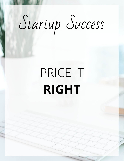# Startup Success

## PRICE IT **RIGHT**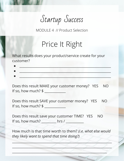Startup Success

MODULE 4 // Product Selection

#### Price It Right

What results does your product/service create for your customer?

| _________<br>_____ |
|--------------------|
|                    |

 $\bullet$  , and the state of the state of the state of the state of the state of the state of the state of the state of

Does this result MAKE your customer money? YES NO If so, how much? \$

Does this result SAVE your customer money? YES NO If so, how much? \$

Does this result save your customer TIME? YES NO If so, how much?  $\frac{1}{2}$  hrs /

How much is that time worth to them? *(i.e. what else would they likely want to spend that time doing?)*

\_\_\_\_\_\_\_\_\_\_\_\_\_\_\_\_\_\_\_\_\_\_\_\_\_\_\_\_\_\_\_\_\_\_\_\_\_\_\_\_\_\_\_\_\_\_\_\_\_\_\_\_\_\_\_\_\_\_\_\_\_

\_\_\_\_\_\_\_\_\_\_\_\_\_\_\_\_\_\_\_\_\_\_\_\_\_\_\_\_\_\_\_\_\_\_\_\_\_\_\_\_\_\_\_\_\_\_\_\_\_\_\_\_\_\_\_\_\_\_\_\_\_

\_\_\_\_\_\_\_\_\_\_\_\_\_\_\_\_\_\_\_\_\_\_\_\_\_\_\_\_\_\_\_\_\_\_\_\_\_\_\_\_\_\_\_\_\_\_\_\_\_\_\_\_\_\_\_\_\_\_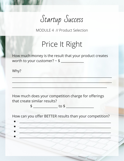Startup Success

MODULE 4 // Product Selection

#### Price It Right

How much money is the result that your product creates worth to your customer?  $\sim$  \$

 $\frac{1}{2}$  ,  $\frac{1}{2}$  ,  $\frac{1}{2}$  ,  $\frac{1}{2}$  ,  $\frac{1}{2}$  ,  $\frac{1}{2}$  ,  $\frac{1}{2}$  ,  $\frac{1}{2}$  ,  $\frac{1}{2}$  ,  $\frac{1}{2}$  ,  $\frac{1}{2}$  ,  $\frac{1}{2}$  ,  $\frac{1}{2}$  ,  $\frac{1}{2}$  ,  $\frac{1}{2}$  ,  $\frac{1}{2}$  ,  $\frac{1}{2}$  ,  $\frac{1}{2}$  ,  $\frac{1$ 

 $\frac{1}{2}$  ,  $\frac{1}{2}$  ,  $\frac{1}{2}$  ,  $\frac{1}{2}$  ,  $\frac{1}{2}$  ,  $\frac{1}{2}$  ,  $\frac{1}{2}$  ,  $\frac{1}{2}$  ,  $\frac{1}{2}$  ,  $\frac{1}{2}$  ,  $\frac{1}{2}$  ,  $\frac{1}{2}$  ,  $\frac{1}{2}$  ,  $\frac{1}{2}$  ,  $\frac{1}{2}$  ,  $\frac{1}{2}$  ,  $\frac{1}{2}$  ,  $\frac{1}{2}$  ,  $\frac{1$ 

 $\mathcal{L}_1 = \{ \mathcal{L}_1, \mathcal{L}_2, \ldots, \mathcal{L}_n \}$  , where  $\mathcal{L}_2 = \{ \mathcal{L}_1, \mathcal{L}_2, \ldots, \mathcal{L}_n \}$ 

Why?

How much does your competition charge for offerings that create similar results?

\$ \_\_\_\_\_\_\_\_\_\_\_\_\_\_\_ to \$ \_\_\_\_\_\_\_\_\_\_\_\_\_\_\_\_\_

How can you offer BETTER results than your competition?

 $\bullet$  , and the contribution of the contribution of  $\bullet$ 

 $\bullet$  , and the set of the set of the set of the set of the set of the set of the set of the set of the set of the set of the set of the set of the set of the set of the set of the set of the set of the set of the set of t

● \_\_\_\_\_\_\_\_\_\_\_\_\_\_\_\_\_\_\_\_\_\_\_\_\_\_\_\_\_\_\_\_\_\_\_\_\_\_\_\_\_\_\_\_\_\_\_\_\_\_\_\_\_\_\_\_

● \_\_\_\_\_\_\_\_\_\_\_\_\_\_\_\_\_\_\_\_\_\_\_\_\_\_\_\_\_\_\_\_\_\_\_\_\_\_\_\_\_\_\_\_\_\_\_\_\_\_\_\_\_\_\_\_